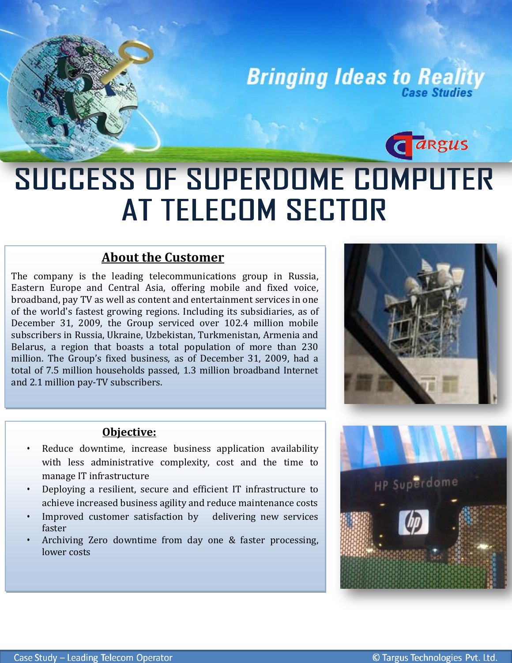# **Bringing Ideas to Reality**

# i **SUCCESS OF SUPERDOME COMPUTER** AT TELECOM SECTOR

# **About the Customer**

 million. The Group's fixed business, as of December 31, 2009, had a The company is the leading telecommunications group in Russia, Eastern Europe and Central Asia, offering mobile and fixed voice, broadband, pay TV as well as content and entertainment services in one of the world's fastest growing regions. Including its subsidiaries, as of December 31, 2009, the Group serviced over 102.4 million mobile subscribers in Russia, Ukraine, Uzbekistan, Turkmenistan, Armenia and Belarus, a region that boasts a total population of more than 230 total of 7.5 million households passed, 1.3 million broadband Internet and 2.1 million pay-TV subscribers.



**G** *a*Rgus

### **Objective:**

- with less administrative complexity, cost and the time to Reduce downtime, increase business application availability manage IT infrastructure
- Deploying a resilient, secure and efficient IT infrastructure to achieve increased business agility and reduce maintenance costs
- Improved customer satisfaction by delivering new services faster
- Archiving Zero downtime from day one & faster processing, lower costs